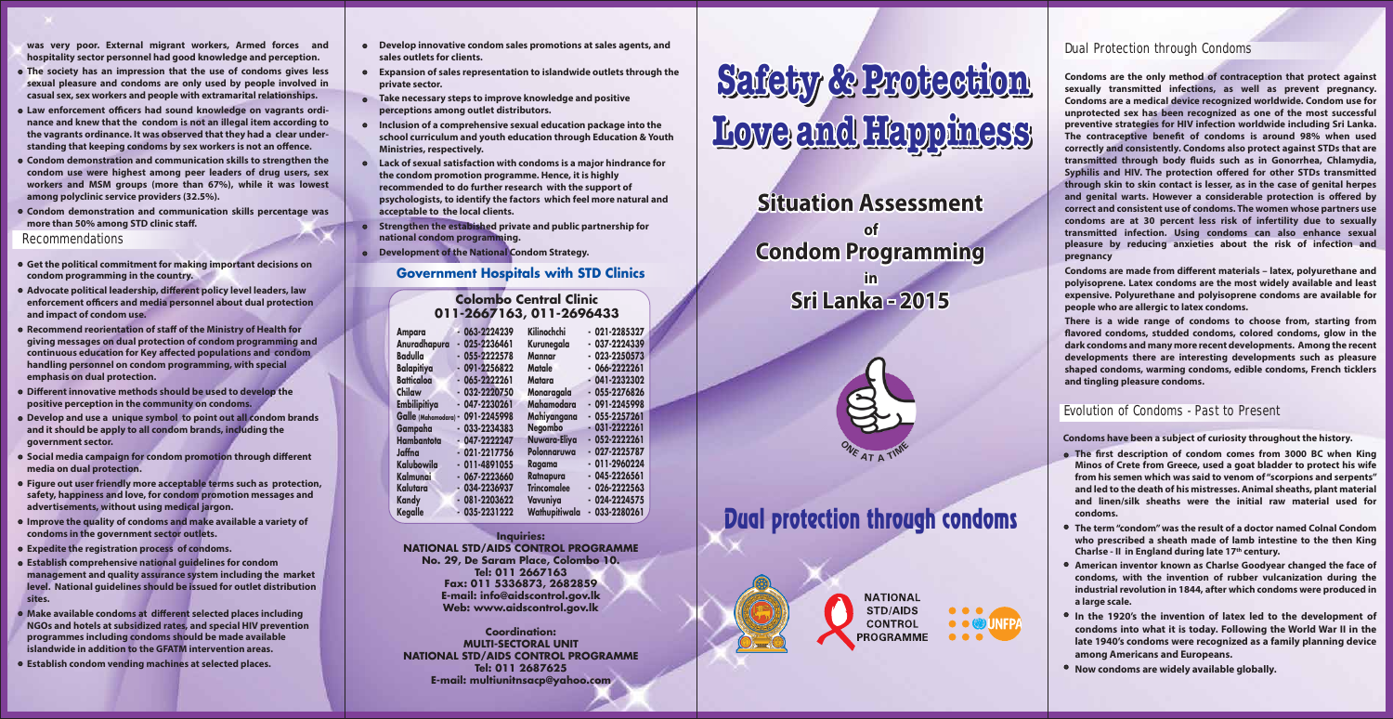

**Inquiries: NATIONAL STD/AIDS CONTROL PROGRAMME No. 29, De Saram Place, Colombo 10. Tel: 011 2667163 Fax: 011 5336873, 2682859 E-mail: info@aidscontrol.gov.lk Web: www.aidscontrol.gov.lk**

**Coordination: MULTI-SECTORAL UNIT NATIONAL STD/AIDS CONTROL PROGRAMME Tel: 011 2687625 E-mail: multiunitnsacp@yahoo.com**



#### **Government Hospitals with STD Clinics**

# **Safety & Protection Love and Happiness Safety & Protection Love and Happiness**

| Kilinochchi<br>$-063 - 2224239$<br>$-021 - 2285327$<br><b>Ampara</b><br>$-037 - 2224339$<br>$-025 - 2236461$<br>Anuradhapura<br>Kurunegala<br><b>Badulla</b><br>$-023 - 2250573$<br>$-055 - 2222578$<br><b>Mannar</b><br>$-091 - 2256822$<br><b>Balapitiya</b><br><b>Matale</b><br>$-066 - 2222261$<br><b>Batticaloa</b><br>$-065 - 2222261$<br>$-041 - 2232302$<br><b>Matara</b><br>Chilaw<br>$-032 - 2220750$<br>$-055 - 2276826$<br>Monaragala<br><b>Mahamodara</b><br><b>Embilipitiya</b><br>$-091 - 2245998$<br>$-047 - 2230261$<br>Mahiyangana<br>$-055 - 2257261$<br>091-2245998<br>Galle (Mahamodara) -<br><b>Negombo</b><br>$-031 - 2222261$<br>$-033 - 2234383$<br>Gampaha<br>Nuwara-Eliya<br>$-052 - 2222261$<br><b>Hambantota</b><br>$-047 - 2222247$<br>Polonnaruwa<br>$-027 - 2225787$<br>$-021 - 2217756$<br>Jaffna<br>$-011 - 2960224$<br><b>Kalubowila</b><br>$-011 - 4891055$<br>Ragama<br>$-045 - 2226561$<br>Ratnapura<br><b>Kalmunai</b><br>$-067 - 2223660$<br><b>Trincomalee</b><br>$-026 - 2222563$<br>Kalutara<br>$-034 - 2236937$<br>$-024 - 2224575$<br>Vavuniya<br>$-081 - 2203622$<br><b>Kandy</b><br>Wathupitiwala<br>$-033 - 2280261$<br><b>Kegalle</b><br>$-035 - 2231222$ |  |  |  |
|------------------------------------------------------------------------------------------------------------------------------------------------------------------------------------------------------------------------------------------------------------------------------------------------------------------------------------------------------------------------------------------------------------------------------------------------------------------------------------------------------------------------------------------------------------------------------------------------------------------------------------------------------------------------------------------------------------------------------------------------------------------------------------------------------------------------------------------------------------------------------------------------------------------------------------------------------------------------------------------------------------------------------------------------------------------------------------------------------------------------------------------------------------------------------------------------------------|--|--|--|
|                                                                                                                                                                                                                                                                                                                                                                                                                                                                                                                                                                                                                                                                                                                                                                                                                                                                                                                                                                                                                                                                                                                                                                                                            |  |  |  |
|                                                                                                                                                                                                                                                                                                                                                                                                                                                                                                                                                                                                                                                                                                                                                                                                                                                                                                                                                                                                                                                                                                                                                                                                            |  |  |  |
|                                                                                                                                                                                                                                                                                                                                                                                                                                                                                                                                                                                                                                                                                                                                                                                                                                                                                                                                                                                                                                                                                                                                                                                                            |  |  |  |
|                                                                                                                                                                                                                                                                                                                                                                                                                                                                                                                                                                                                                                                                                                                                                                                                                                                                                                                                                                                                                                                                                                                                                                                                            |  |  |  |
|                                                                                                                                                                                                                                                                                                                                                                                                                                                                                                                                                                                                                                                                                                                                                                                                                                                                                                                                                                                                                                                                                                                                                                                                            |  |  |  |
|                                                                                                                                                                                                                                                                                                                                                                                                                                                                                                                                                                                                                                                                                                                                                                                                                                                                                                                                                                                                                                                                                                                                                                                                            |  |  |  |
|                                                                                                                                                                                                                                                                                                                                                                                                                                                                                                                                                                                                                                                                                                                                                                                                                                                                                                                                                                                                                                                                                                                                                                                                            |  |  |  |
|                                                                                                                                                                                                                                                                                                                                                                                                                                                                                                                                                                                                                                                                                                                                                                                                                                                                                                                                                                                                                                                                                                                                                                                                            |  |  |  |
|                                                                                                                                                                                                                                                                                                                                                                                                                                                                                                                                                                                                                                                                                                                                                                                                                                                                                                                                                                                                                                                                                                                                                                                                            |  |  |  |
|                                                                                                                                                                                                                                                                                                                                                                                                                                                                                                                                                                                                                                                                                                                                                                                                                                                                                                                                                                                                                                                                                                                                                                                                            |  |  |  |
|                                                                                                                                                                                                                                                                                                                                                                                                                                                                                                                                                                                                                                                                                                                                                                                                                                                                                                                                                                                                                                                                                                                                                                                                            |  |  |  |
|                                                                                                                                                                                                                                                                                                                                                                                                                                                                                                                                                                                                                                                                                                                                                                                                                                                                                                                                                                                                                                                                                                                                                                                                            |  |  |  |
|                                                                                                                                                                                                                                                                                                                                                                                                                                                                                                                                                                                                                                                                                                                                                                                                                                                                                                                                                                                                                                                                                                                                                                                                            |  |  |  |
|                                                                                                                                                                                                                                                                                                                                                                                                                                                                                                                                                                                                                                                                                                                                                                                                                                                                                                                                                                                                                                                                                                                                                                                                            |  |  |  |
|                                                                                                                                                                                                                                                                                                                                                                                                                                                                                                                                                                                                                                                                                                                                                                                                                                                                                                                                                                                                                                                                                                                                                                                                            |  |  |  |
|                                                                                                                                                                                                                                                                                                                                                                                                                                                                                                                                                                                                                                                                                                                                                                                                                                                                                                                                                                                                                                                                                                                                                                                                            |  |  |  |

## **Colombo Central Clinic 011-2667163, 011-2696433**

# Dual protection through condoms





Condoms are made from different materials - latex, polyurethane and **polyisoprene. Latex condoms are the most widely available and least expensive. Polyurethane and polyisoprene condoms are available for people who are allergic to latex condoms.**

**Situation Assessment of Condom Programming in Sri Lanka - 2015** 

## **Dual Protection through Condoms**

#### **Recommendations**

**Condoms are the only method of contraception that protect against sexually transmitted infections, as well as prevent pregnancy. Condoms are a medical device recognized worldwide. Condom use for unprotected sex has been recognized as one of the most successful preventive strategies for HIV infection worldwide including Sri Lanka.**  The contraceptive benefit of condoms is around 98% when used **correctly and consistently. Condoms also protect against STDs that are**  transmitted through body fluids such as in Gonorrhea, Chlamydia, **Syphilis and HIV. The protection offered for other STDs transmitted through skin to skin contact is lesser, as in the case of genital herpes**  and genital warts. However a considerable protection is offered by **correct and consistent use of condoms. The women whose partners use condoms are at 30 percent less risk of infertility due to sexually transmitted infection. Using condoms can also enhance sexual pleasure by reducing anxieties about the risk of infection and pregnancy**

- **The first description of condom comes from 3000 BC when King Minos of Crete from Greece, used a goat bladder to protect his wife from his semen which was said to venom of "scorpions and serpents" and led to the death of his mistresses. Animal sheaths, plant material and linen/silk sheaths were the initial raw material used for condoms.**
- **The term "condom" was the result of a doctor named Colnal Condom who prescribed a sheath made of lamb intestine to the then King Charlse - II in England during late 17th century.**
- **American inventor known as Charlse Goodyear changed the face of condoms, with the invention of rubber vulcanization during the industrial revolution in 1844, after which condoms were produced in a large scale.**
- **In the 1920's the invention of latex led to the development of condoms into what it is today. Following the World War II in the late 1940's condoms were recognized as a family planning device among Americans and Europeans.**
- **Now condoms are widely available globally.**

**There is a wide range of condoms to choose from, starting from avored condoms, studded condoms, colored condoms, glow in the dark condoms and many more recent developments. Among the recent developments there are interesting developments such as pleasure shaped condoms, warming condoms, edible condoms, French ticklers and tingling pleasure condoms.**

- **The society has an impression that the use of condoms gives less sexual pleasure and condoms are only used by people involved in casual sex, sex workers and people with extramarital relationships.**
- **Law enforcement officers had sound knowledge on vagrants ordinance and knew that the condom is not an illegal item according to the vagrants ordinance. It was observed that they had a clear under**standing that keeping condoms by sex workers is not an offence.
- **Condom demonstration and communication skills to strengthen the condom use were highest among peer leaders of drug users, sex workers and MSM groups (more than 67%), while it was lowest among polyclinic service providers (32.5%).**
- **Condom demonstration and communication skills percentage was**  more than 50% among STD clinic staff.

## **Evolution of Condoms - Past to Present**

**Condoms have been a subject of curiosity throughout the history.** 

- **Get the political commitment for making important decisions on condom programming in the country.**
- **Advocate political leadership, different policy level leaders, law** enforcement officers and media personnel about dual protection **and impact of condom use.**
- **Recommend reorientation of staff of the Ministry of Health for giving messages on dual protection of condom programming and**  continuous education for Key affected populations and condom **handling personnel on condom programming, with special emphasis on dual protection.**
- **Different innovative methods should be used to develop the positive perception in the community on condoms.**
- **Develop and use a unique symbol to point out all condom brands and it should be apply to all condom brands, including the government sector.**
- **Social media campaign for condom promotion through different media on dual protection.**
- **Figure out user friendly more acceptable terms such as protection, safety, happiness and love, for condom promotion messages and advertisements, without using medical jargon.**
- **Improve the quality of condoms and make available a variety of condoms in the government sector outlets.**
- **Expedite the registration process of condoms.**
- **Establish comprehensive national guidelines for condom management and quality assurance system including the market level. National guidelines should be issued for outlet distribution sites.**
- **Make available condoms at different selected places including NGOs and hotels at subsidized rates, and special HIV prevention programmes including condoms should be made available islandwide in addition to the GFATM intervention areas.**
- **Establish condom vending machines at selected places.**

**was very poor. External migrant workers, Armed forces and hospitality sector personnel had good knowledge and perception.** 

- **Develop innovative condom sales promotions at sales agents, and sales outlets for clients.**
- **Expansion of sales representation to islandwide outlets through the private sector.**
- **Take necessary steps to improve knowledge and positive perceptions among outlet distributors.**
- **Inclusion of a comprehensive sexual education package into the school curriculum and youth education through Education & Youth Ministries, respectively.**
- **Lack of sexual satisfaction with condoms is a major hindrance for the condom promotion programme. Hence, it is highly recommended to do further research with the support of psychologists, to identify the factors which feel more natural and acceptable to the local clients.**
- **Strengthen the estabished private and public partnership for national condom programming.**
- **Development of the National Condom Strategy.**